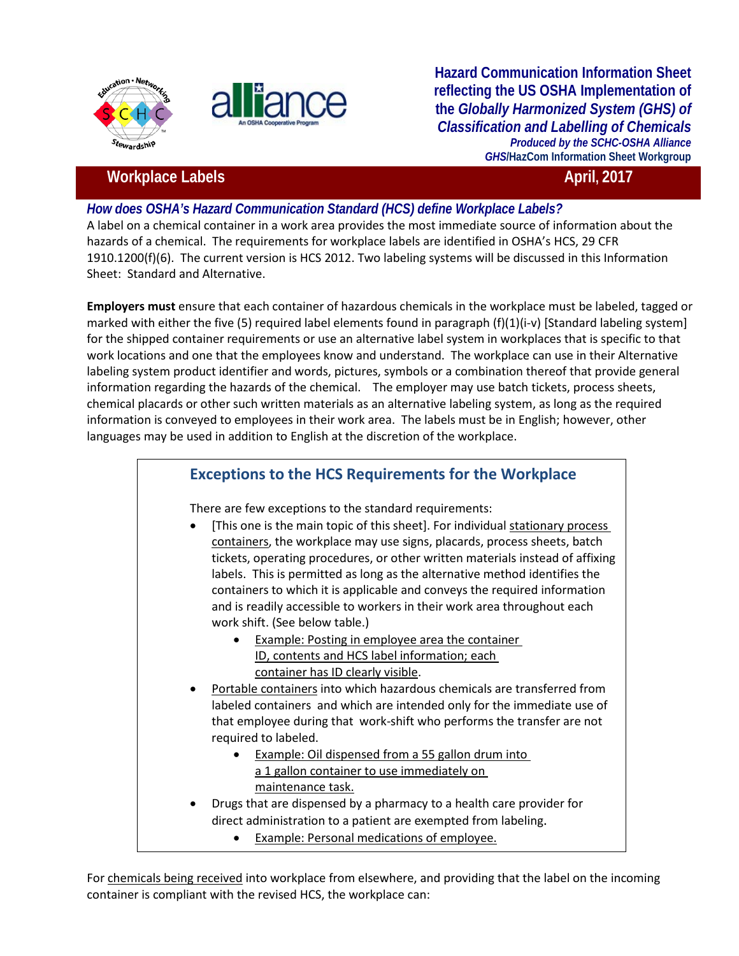



**Hazard Communication Information Sheet reflecting the US OSHA Implementation of the** *Globally Harmonized System (GHS) of Classification and Labelling of Chemicals Produced by the SCHC-OSHA Alliance GHS***/HazCom Information Sheet Workgroup**

## **Workplace Labels April, 2017 April, 2017**

## *How does OSHA's Hazard Communication Standard (HCS) define Workplace Labels?*

A label on a chemical container in a work area provides the most immediate source of information about the hazards of a chemical. The requirements for workplace labels are identified in OSHA's HCS, 29 CFR 1910.1200(f)(6). The current version is HCS 2012. Two labeling systems will be discussed in this Information Sheet: Standard and Alternative.

**Employers must** ensure that each container of hazardous chemicals in the workplace must be labeled, tagged or marked with either the five (5) required label elements found in paragraph (f)(1)(i-v) [Standard labeling system] for the shipped container requirements or use an alternative label system in workplaces that is specific to that work locations and one that the employees know and understand. The workplace can use in their Alternative labeling system product identifier and words, pictures, symbols or a combination thereof that provide general information regarding the hazards of the chemical. The employer may use batch tickets, process sheets, chemical placards or other such written materials as an alternative labeling system, as long as the required information is conveyed to employees in their work area. The labels must be in English; however, other languages may be used in addition to English at the discretion of the workplace.

## **Exceptions to the HCS Requirements for the Workplace**

There are few exceptions to the standard requirements:

- [This one is the main topic of this sheet]. For individual stationary process containers, the workplace may use signs, placards, process sheets, batch tickets, operating procedures, or other written materials instead of affixing labels. This is permitted as long as the alternative method identifies the containers to which it is applicable and conveys the required information and is readily accessible to workers in their work area throughout each work shift. (See below table.)
	- Example: Posting in employee area the container ID, contents and HCS label information; each container has ID clearly visible.
- Portable containers into which hazardous chemicals are transferred from labeled containers and which are intended only for the immediate use of that employee during that work-shift who performs the transfer are not required to labeled.
	- Example: Oil dispensed from a 55 gallon drum into a 1 gallon container to use immediately on maintenance task.
- Drugs that are dispensed by a pharmacy to a health care provider for direct administration to a patient are exempted from labeling.
	- Example: Personal medications of employee.

For chemicals being received into workplace from elsewhere, and providing that the label on the incoming container is compliant with the revised HCS, the workplace can: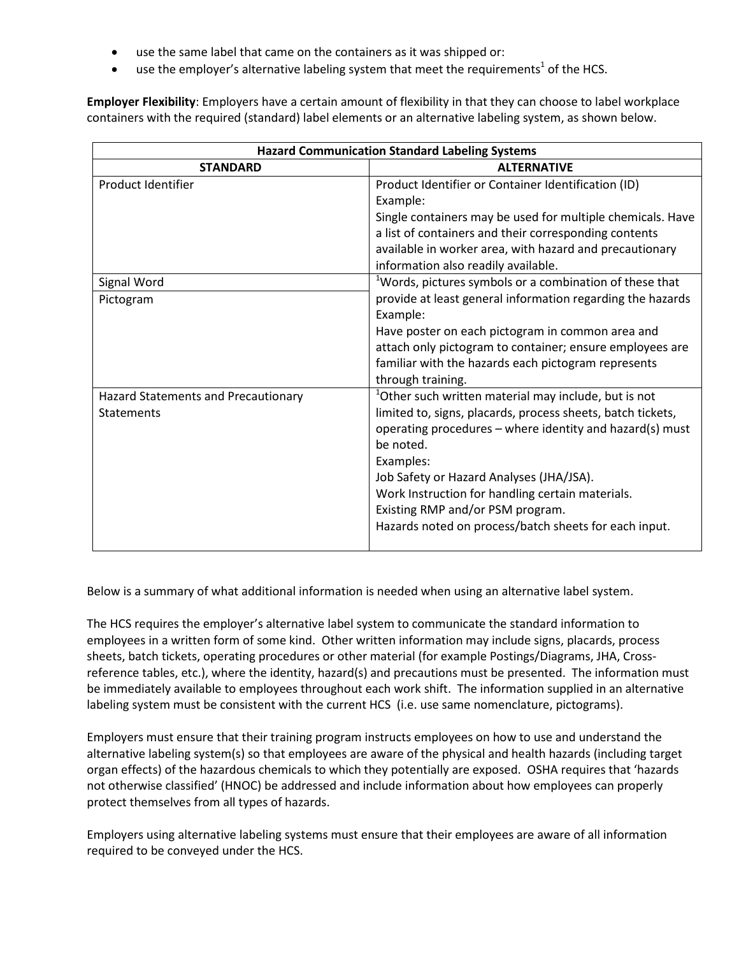- use the same label that came on the containers as it was shipped or:
- use the employer's alternative labeling system that meet the requirements<sup>1</sup> of the HCS.

**Employer Flexibility**: Employers have a certain amount of flexibility in that they can choose to label workplace containers with the required (standard) label elements or an alternative labeling system, as shown below.

| <b>Hazard Communication Standard Labeling Systems</b>    |                                                                                                                                                                                                                                                                                                                                                                                                                    |
|----------------------------------------------------------|--------------------------------------------------------------------------------------------------------------------------------------------------------------------------------------------------------------------------------------------------------------------------------------------------------------------------------------------------------------------------------------------------------------------|
| <b>STANDARD</b>                                          | <b>ALTERNATIVE</b>                                                                                                                                                                                                                                                                                                                                                                                                 |
| Product Identifier                                       | Product Identifier or Container Identification (ID)<br>Example:<br>Single containers may be used for multiple chemicals. Have<br>a list of containers and their corresponding contents<br>available in worker area, with hazard and precautionary<br>information also readily available.                                                                                                                           |
| Signal Word                                              | <sup>1</sup> Words, pictures symbols or a combination of these that                                                                                                                                                                                                                                                                                                                                                |
| Pictogram                                                | provide at least general information regarding the hazards<br>Example:<br>Have poster on each pictogram in common area and<br>attach only pictogram to container; ensure employees are<br>familiar with the hazards each pictogram represents<br>through training.                                                                                                                                                 |
| Hazard Statements and Precautionary<br><b>Statements</b> | <sup>1</sup> Other such written material may include, but is not<br>limited to, signs, placards, process sheets, batch tickets,<br>operating procedures - where identity and hazard(s) must<br>be noted.<br>Examples:<br>Job Safety or Hazard Analyses (JHA/JSA).<br>Work Instruction for handling certain materials.<br>Existing RMP and/or PSM program.<br>Hazards noted on process/batch sheets for each input. |

Below is a summary of what additional information is needed when using an alternative label system.

The HCS requires the employer's alternative label system to communicate the standard information to employees in a written form of some kind. Other written information may include signs, placards, process sheets, batch tickets, operating procedures or other material (for example Postings/Diagrams, JHA, Crossreference tables, etc.), where the identity, hazard(s) and precautions must be presented. The information must be immediately available to employees throughout each work shift. The information supplied in an alternative labeling system must be consistent with the current HCS (i.e. use same nomenclature, pictograms).

Employers must ensure that their training program instructs employees on how to use and understand the alternative labeling system(s) so that employees are aware of the physical and health hazards (including target organ effects) of the hazardous chemicals to which they potentially are exposed. OSHA requires that 'hazards not otherwise classified' (HNOC) be addressed and include information about how employees can properly protect themselves from all types of hazards.

Employers using alternative labeling systems must ensure that their employees are aware of all information required to be conveyed under the HCS.